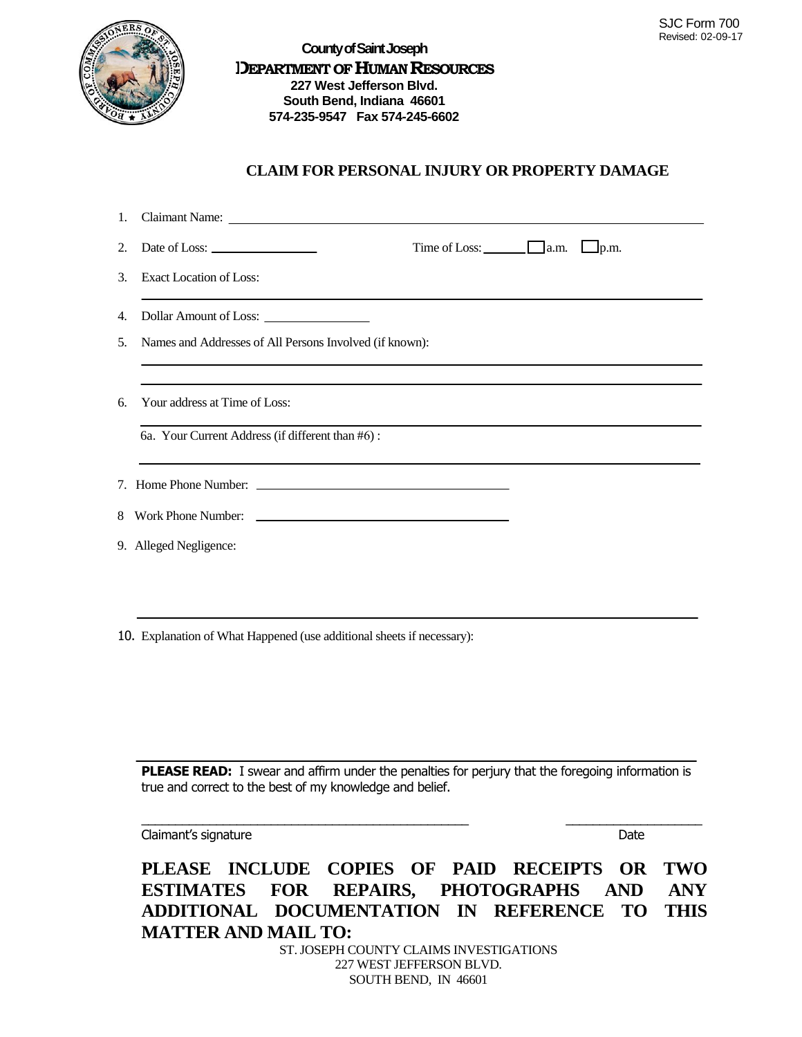

## **CLAIM FOR PERSONAL INJURY OR PROPERTY DAMAGE**

|    | Time of Loss: $\Box$ a.m. $\Box$ p.m.<br>2. Date of Loss: $\_\_\_\_\_\_\_\_\_\_\_\_\_\_\_\_\_\_\_\_\_$ |
|----|--------------------------------------------------------------------------------------------------------|
|    | 3. Exact Location of Loss:                                                                             |
| 4. |                                                                                                        |
| 5. | Names and Addresses of All Persons Involved (if known):                                                |
| 6. | Your address at Time of Loss:<br>6a. Your Current Address (if different than #6):                      |
|    |                                                                                                        |
|    | 8 Work Phone Number:                                                                                   |
|    | 9. Alleged Negligence:                                                                                 |
|    |                                                                                                        |

10. Explanation of What Happened (use additional sheets if necessary):

**PLEASE READ:** I swear and affirm under the penalties for perjury that the foregoing information is true and correct to the best of my knowledge and belief.

\_\_\_\_\_\_\_\_\_\_\_\_\_\_\_\_\_\_\_\_\_\_\_\_\_\_\_\_\_\_\_\_\_\_\_\_\_\_\_\_\_\_\_\_\_\_\_\_ \_\_\_\_\_\_\_\_\_\_\_\_\_\_\_\_\_\_\_\_

Claimant's signature Date

**PLEASE INCLUDE COPIES OF PAID RECEIPTS OR TWO ESTIMATES FOR REPAIRS, PHOTOGRAPHS AND ANY ADDITIONAL DOCUMENTATION IN REFERENCE TO THIS MATTER AND MAIL TO:**

ST. JOSEPH COUNTY CLAIMS INVESTIGATIONS 227 WEST JEFFERSON BLVD. SOUTH BEND, IN 46601